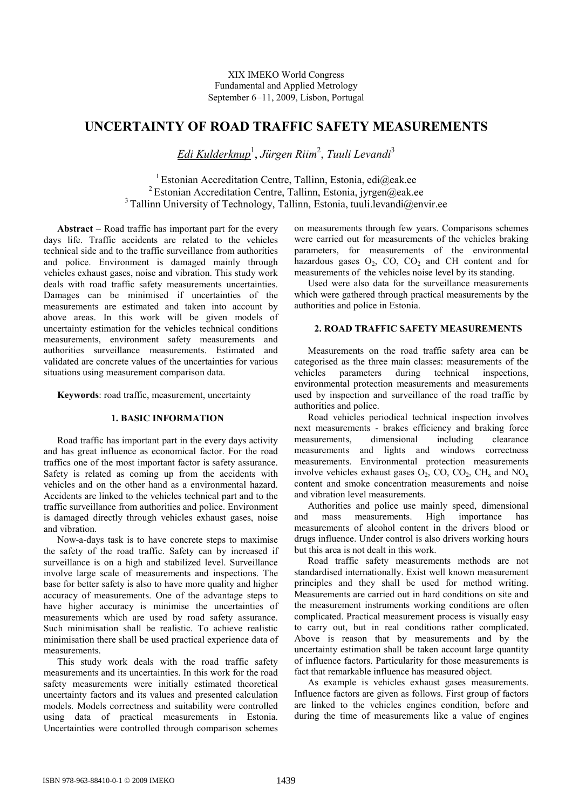# **UNCERTAINTY OF ROAD TRAFFIC SAFETY MEASUREMENTS**

*Edi Kulderknup*<sup>1</sup> , *Jürgen Riim*<sup>2</sup> , *Tuuli Levandi*<sup>3</sup>

<sup>1</sup> Estonian Accreditation Centre, Tallinn, Estonia, edi@eak.ee <sup>2</sup> Estonian Accreditation Centre, Tallinn, Estonia, jyrgen@eak.ee  $3$  Tallinn University of Technology, Tallinn, Estonia, tuuli.levandi@envir.ee

**Abstract** – Road traffic has important part for the every days life. Traffic accidents are related to the vehicles technical side and to the traffic surveillance from authorities and police. Environment is damaged mainly through vehicles exhaust gases, noise and vibration. This study work deals with road traffic safety measurements uncertainties. Damages can be minimised if uncertainties of the measurements are estimated and taken into account by above areas. In this work will be given models of uncertainty estimation for the vehicles technical conditions measurements, environment safety measurements and authorities surveillance measurements. Estimated and validated are concrete values of the uncertainties for various situations using measurement comparison data.

**Keywords**: road traffic, measurement, uncertainty

# **1. BASIC INFORMATION**

Road traffic has important part in the every days activity and has great influence as economical factor. For the road traffics one of the most important factor is safety assurance. Safety is related as coming up from the accidents with vehicles and on the other hand as a environmental hazard. Accidents are linked to the vehicles technical part and to the traffic surveillance from authorities and police. Environment is damaged directly through vehicles exhaust gases, noise and vibration.

Now-a-days task is to have concrete steps to maximise the safety of the road traffic. Safety can by increased if surveillance is on a high and stabilized level. Surveillance involve large scale of measurements and inspections. The base for better safety is also to have more quality and higher accuracy of measurements. One of the advantage steps to have higher accuracy is minimise the uncertainties of measurements which are used by road safety assurance. Such minimisation shall be realistic. To achieve realistic minimisation there shall be used practical experience data of measurements.

This study work deals with the road traffic safety measurements and its uncertainties. In this work for the road safety measurements were initially estimated theoretical uncertainty factors and its values and presented calculation models. Models correctness and suitability were controlled using data of practical measurements in Estonia. Uncertainties were controlled through comparison schemes on measurements through few years. Comparisons schemes were carried out for measurements of the vehicles braking parameters, for measurements of the environmental hazardous gases  $O_2$ ,  $CO_2$ ,  $CO_2$  and  $CH$  content and for measurements of the vehicles noise level by its standing.

Used were also data for the surveillance measurements which were gathered through practical measurements by the authorities and police in Estonia.

# **2. ROAD TRAFFIC SAFETY MEASUREMENTS**

Measurements on the road traffic safety area can be categorised as the three main classes: measurements of the vehicles parameters during technical inspections, environmental protection measurements and measurements used by inspection and surveillance of the road traffic by authorities and police.

Road vehicles periodical technical inspection involves next measurements - brakes efficiency and braking force measurements, dimensional including clearance measurements and lights and windows correctness measurements. Environmental protection measurements involve vehicles exhaust gases  $O_2$ ,  $CO$ ,  $CO_2$ ,  $CH_x$  and  $NO_x$ content and smoke concentration measurements and noise and vibration level measurements.

Authorities and police use mainly speed, dimensional and mass measurements. High importance has measurements of alcohol content in the drivers blood or drugs influence. Under control is also drivers working hours but this area is not dealt in this work.

Road traffic safety measurements methods are not standardised internationally. Exist well known measurement principles and they shall be used for method writing. Measurements are carried out in hard conditions on site and the measurement instruments working conditions are often complicated. Practical measurement process is visually easy to carry out, but in real conditions rather complicated. Above is reason that by measurements and by the uncertainty estimation shall be taken account large quantity of influence factors. Particularity for those measurements is fact that remarkable influence has measured object.

As example is vehicles exhaust gases measurements. Influence factors are given as follows. First group of factors are linked to the vehicles engines condition, before and during the time of measurements like a value of engines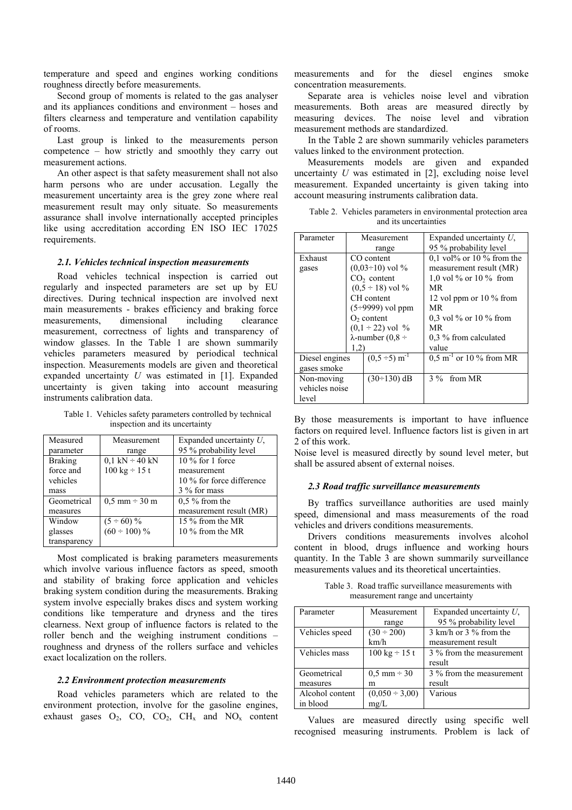temperature and speed and engines working conditions roughness directly before measurements.

Second group of moments is related to the gas analyser and its appliances conditions and environment – hoses and filters clearness and temperature and ventilation capability of rooms.

Last group is linked to the measurements person competence – how strictly and smoothly they carry out measurement actions.

An other aspect is that safety measurement shall not also harm persons who are under accusation. Legally the measurement uncertainty area is the grey zone where real measurement result may only situate. So measurements assurance shall involve internationally accepted principles like using accreditation according EN ISO IEC 17025 requirements.

### *2.1. Vehicles technical inspection measurements*

Road vehicles technical inspection is carried out regularly and inspected parameters are set up by EU directives. During technical inspection are involved next main measurements - brakes efficiency and braking force measurements, dimensional including clearance measurement, correctness of lights and transparency of window glasses. In the Table 1 are shown summarily vehicles parameters measured by periodical technical inspection. Measurements models are given and theoretical expanded uncertainty *U* was estimated in [1]. Expanded uncertainty is given taking into account measuring instruments calibration data.

Table 1. Vehicles safety parameters controlled by technical inspection and its uncertainty

| Measured       | Measurement                         | Expanded uncertainty $U$ , |
|----------------|-------------------------------------|----------------------------|
| parameter      | range                               | 95 % probability level     |
| <b>Braking</b> | $0.1 \text{ kN} \div 40 \text{ kN}$ | $10\%$ for 1 force         |
| force and      | $100 \text{ kg} \div 15 \text{ t}$  | measurement                |
| vehicles       |                                     | 10 % for force difference  |
| mass           |                                     | 3 % for mass               |
| Geometrical    | $0.5$ mm $\div$ 30 m                | $0.5\%$ from the           |
| measures       |                                     | measurement result (MR)    |
| Window         | $(5 \div 60) \%$                    | 15 % from the MR           |
| glasses        | $(60 \div 100) \%$                  | 10 $\%$ from the MR        |
| transparency   |                                     |                            |

Most complicated is braking parameters measurements which involve various influence factors as speed, smooth and stability of braking force application and vehicles braking system condition during the measurements. Braking system involve especially brakes discs and system working conditions like temperature and dryness and the tires clearness. Next group of influence factors is related to the roller bench and the weighing instrument conditions – roughness and dryness of the rollers surface and vehicles exact localization on the rollers.

#### *2.2 Environment protection measurements*

Road vehicles parameters which are related to the environment protection, involve for the gasoline engines, exhaust gases  $O_2$ ,  $CO_2$ ,  $CO_2$ ,  $CH_x$  and  $NO_x$  content measurements and for the diesel engines smoke concentration measurements.

Separate area is vehicles noise level and vibration measurements. Both areas are measured directly by measuring devices. The noise level and vibration measurement methods are standardized.

In the Table 2 are shown summarily vehicles parameters values linked to the environment protection.

Measurements models are given and expanded uncertainty *U* was estimated in [2], excluding noise level measurement. Expanded uncertainty is given taking into account measuring instruments calibration data.

| Table 2. Vehicles parameters in environmental protection area |
|---------------------------------------------------------------|
| and its uncertainties                                         |
|                                                               |

| Parameter      |      | Measurement                    | Expanded uncertainty $U$ ,           |  |  |  |
|----------------|------|--------------------------------|--------------------------------------|--|--|--|
|                |      | range                          | 95 % probability level               |  |  |  |
| Exhaust        |      | CO content                     | 0,1 vol% or 10 % from the            |  |  |  |
| gases          |      | $(0.03 \div 10)$ vol %         | measurement result (MR)              |  |  |  |
|                |      | $CO2$ content                  | 1,0 vol $\%$ or 10 $\%$ from         |  |  |  |
|                |      | $(0.5 \div 18)$ vol %          | MR                                   |  |  |  |
|                |      | CH content                     | 12 vol ppm or 10 $\%$ from           |  |  |  |
|                |      | $(5\div 9999)$ vol ppm         | MR                                   |  |  |  |
|                |      | $O2$ content                   | 0.3 vol $\%$ or 10 $\%$ from         |  |  |  |
|                |      | $(0,1 \div 22)$ vol %          | МR                                   |  |  |  |
|                |      | $\lambda$ -number (0,8 ÷       | 0,3 % from calculated                |  |  |  |
|                | 1,2) |                                | value                                |  |  |  |
| Diesel engines |      | $(0,5 \div 5)$ m <sup>-1</sup> | $0.5 \text{ m}^{-1}$ or 10 % from MR |  |  |  |
| gases smoke    |      |                                |                                      |  |  |  |
| Non-moving     |      | $(30\div 130)$ dB              | 3 % from MR                          |  |  |  |
| vehicles noise |      |                                |                                      |  |  |  |
| level          |      |                                |                                      |  |  |  |

By those measurements is important to have influence factors on required level. Influence factors list is given in art 2 of this work.

Noise level is measured directly by sound level meter, but shall be assured absent of external noises.

#### *2.3 Road traffic surveillance measurements*

By traffics surveillance authorities are used mainly speed, dimensional and mass measurements of the road vehicles and drivers conditions measurements.

Drivers conditions measurements involves alcohol content in blood, drugs influence and working hours quantity. In the Table 3 are shown summarily surveillance measurements values and its theoretical uncertainties.

Table 3. Road traffic surveillance measurements with measurement range and uncertainty

| Parameter       | Measurement                        | Expanded uncertainty $U$ , |  |  |
|-----------------|------------------------------------|----------------------------|--|--|
|                 | range                              | 95 % probability level     |  |  |
| Vehicles speed  | $(30 \div 200)$                    | 3 km/h or 3 % from the     |  |  |
|                 | km/h                               | measurement result         |  |  |
| Vehicles mass   | $100 \text{ kg} \div 15 \text{ t}$ | 3 % from the measurement   |  |  |
|                 |                                    | result                     |  |  |
| Geometrical     | $0.5 \text{ mm} \div 30$           | 3 % from the measurement   |  |  |
| measures        | m                                  | result                     |  |  |
| Alcohol content | $(0,050 \div 3,00)$                | Various                    |  |  |
| in blood        | mg/L                               |                            |  |  |

Values are measured directly using specific well recognised measuring instruments. Problem is lack of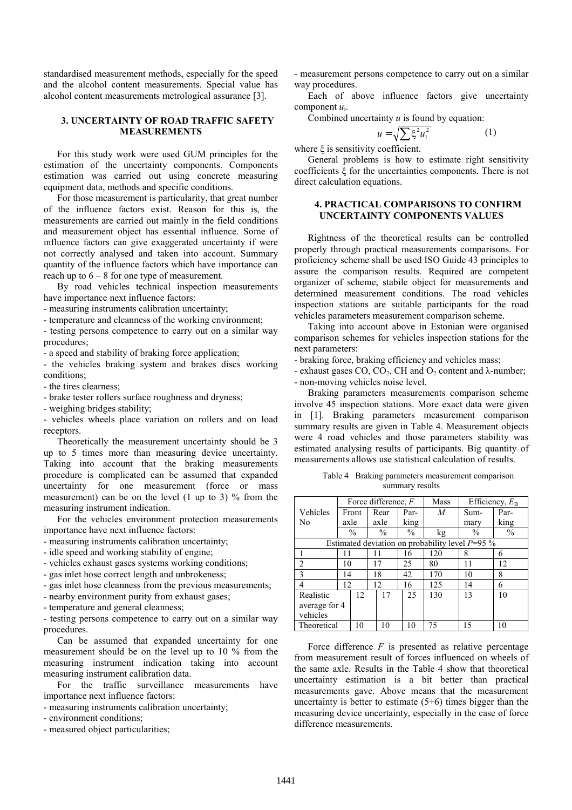standardised measurement methods, especially for the speed and the alcohol content measurements. Special value has alcohol content measurements metrological assurance [3].

# **3. UNCERTAINTY OF ROAD TRAFFIC SAFETY MEASUREMENTS**

For this study work were used GUM principles for the estimation of the uncertainty components. Components estimation was carried out using concrete measuring equipment data, methods and specific conditions.

For those measurement is particularity, that great number of the influence factors exist. Reason for this is, the measurements are carried out mainly in the field conditions and measurement object has essential influence. Some of influence factors can give exaggerated uncertainty if were not correctly analysed and taken into account. Summary quantity of the influence factors which have importance can reach up to  $6 - 8$  for one type of measurement.

By road vehicles technical inspection measurements have importance next influence factors:

- measuring instruments calibration uncertainty;

- temperature and cleanness of the working environment;

- testing persons competence to carry out on a similar way procedures;

- a speed and stability of braking force application;

- the vehicles braking system and brakes discs working conditions;

- the tires clearness;

- brake tester rollers surface roughness and dryness;

- weighing bridges stability;

- vehicles wheels place variation on rollers and on load receptors.

Theoretically the measurement uncertainty should be 3 up to 5 times more than measuring device uncertainty. Taking into account that the braking measurements procedure is complicated can be assumed that expanded uncertainty for one measurement (force or mass measurement) can be on the level (1 up to 3) % from the measuring instrument indication.

For the vehicles environment protection measurements importance have next influence factors:

- measuring instruments calibration uncertainty;

- idle speed and working stability of engine;

- vehicles exhaust gases systems working conditions;

- gas inlet hose correct length and unbrokeness;

- gas inlet hose cleanness from the previous measurements;

- nearby environment purity from exhaust gases;

- temperature and general cleanness;

- testing persons competence to carry out on a similar way procedures.

Can be assumed that expanded uncertainty for one measurement should be on the level up to 10 % from the measuring instrument indication taking into account measuring instrument calibration data.

For the traffic surveillance measurements have importance next influence factors:

- measuring instruments calibration uncertainty;

- environment conditions;

- measured object particularities;

- measurement persons competence to carry out on a similar way procedures.

Each of above influence factors give uncertainty component *u*i.

Combined uncertainty *u* is found by equation:

$$
u = \sqrt{\sum \xi^2 u_i^2} \tag{1}
$$

where  $\xi$  is sensitivity coefficient.

General problems is how to estimate right sensitivity coefficients  $\xi$  for the uncertainties components. There is not direct calculation equations.

# **4. PRACTICAL COMPARISONS TO CONFIRM UNCERTAINTY COMPONENTS VALUES**

Rightness of the theoretical results can be controlled properly through practical measurements comparisons. For proficiency scheme shall be used ISO Guide 43 principles to assure the comparison results. Required are competent organizer of scheme, stabile object for measurements and determined measurement conditions. The road vehicles inspection stations are suitable participants for the road vehicles parameters measurement comparison scheme.

Taking into account above in Estonian were organised comparison schemes for vehicles inspection stations for the next parameters:

- braking force, braking efficiency and vehicles mass;

- exhaust gases CO,  $CO_2$ , CH and  $O_2$  content and  $\lambda$ -number;

- non-moving vehicles noise level.

Braking parameters measurements comparison scheme involve 45 inspection stations. More exact data were given in [1]. Braking parameters measurement comparison summary results are given in Table 4. Measurement objects were 4 road vehicles and those parameters stability was estimated analysing results of participants. Big quantity of measurements allows use statistical calculation of results.

Table 4 Braking parameters measurement comparison summary results

|                                                   |      |               |    | Force difference, $F$ |               | Mass |    | Efficiency, $E_B$ |      |
|---------------------------------------------------|------|---------------|----|-----------------------|---------------|------|----|-------------------|------|
| Vehicles                                          |      | Front         |    | Rear                  | Par-          | M    |    | Sum-              | Par- |
| Nο                                                | axle |               |    | axle                  | king          |      |    | mary              | king |
|                                                   |      | $\frac{0}{0}$ |    | $\%$                  | $\frac{0}{0}$ | kg   |    | $\frac{0}{0}$     | $\%$ |
| Estimated deviation on probability level $P=95\%$ |      |               |    |                       |               |      |    |                   |      |
|                                                   |      |               |    |                       | 16            | 120  | 8  |                   | 6    |
| $\mathcal{D}$                                     | 10   |               | 17 |                       | 25            | 80   | 11 |                   | 12   |
| $\mathbf{3}$                                      | 14   |               | 18 |                       | 42            | 170  | 10 |                   | 8    |
|                                                   | 12   |               | 12 |                       | 16            | 125  | 14 |                   | 6    |
| Realistic                                         |      | 12.           |    | 17                    | 25            | 130  | 13 |                   | 10   |
| average for 4                                     |      |               |    |                       |               |      |    |                   |      |
| vehicles                                          |      |               |    |                       |               |      |    |                   |      |
| Theoretical                                       |      | 10            |    | 10                    | 10            | 75   | 15 |                   | 10   |

Force difference  $F$  is presented as relative percentage from measurement result of forces influenced on wheels of the same axle. Results in the Table 4 show that theoretical uncertainty estimation is a bit better than practical measurements gave. Above means that the measurement uncertainty is better to estimate  $(5\div 6)$  times bigger than the measuring device uncertainty, especially in the case of force difference measurements.